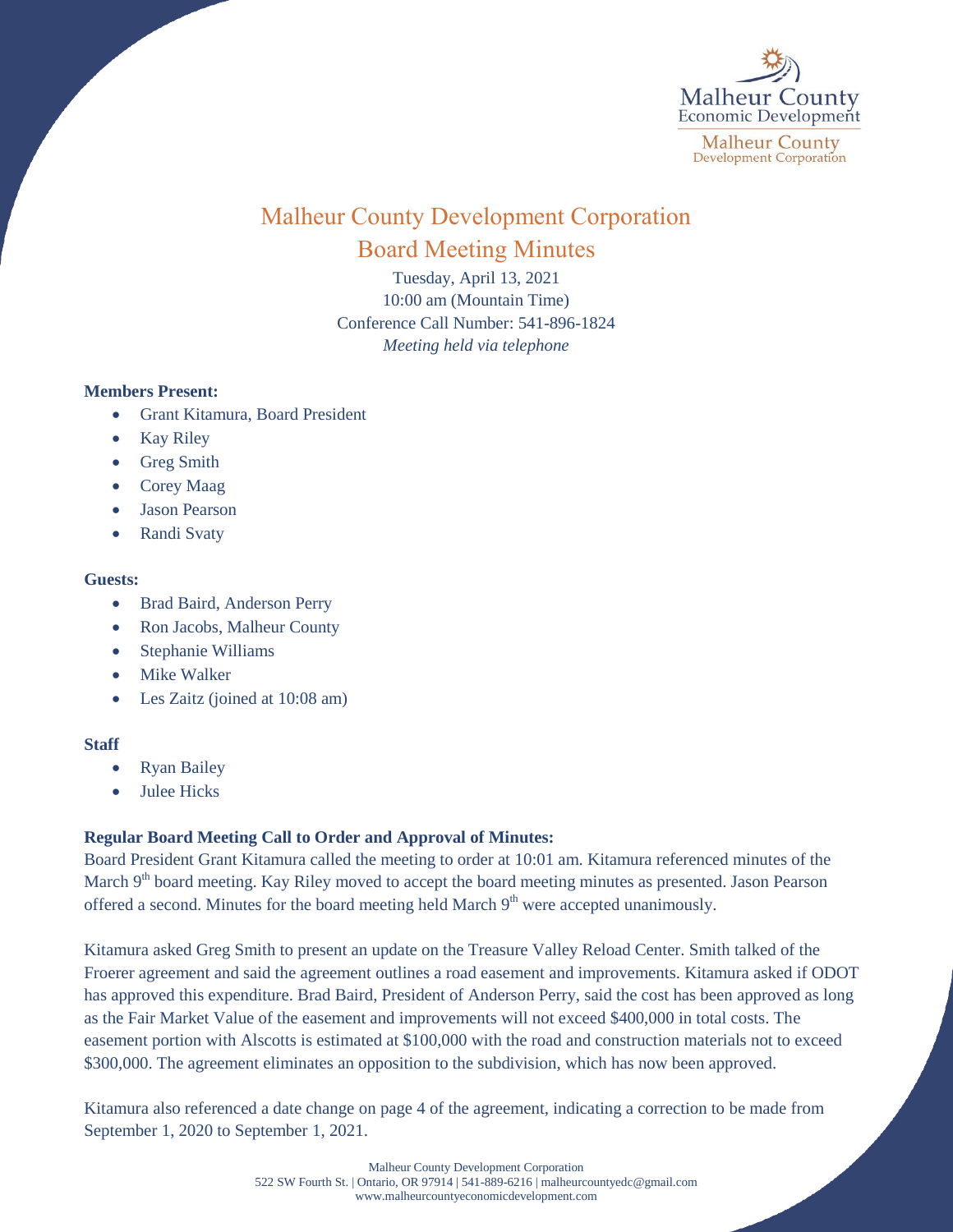

# Malheur County Development Corporation Board Meeting Minutes

Tuesday, April 13, 2021 10:00 am (Mountain Time) Conference Call Number: 541-896-1824 *Meeting held via telephone*

# **Members Present:**

- Grant Kitamura, Board President
- Kay Riley
- Greg Smith
- Corey Maag
- Jason Pearson
- Randi Svaty

### **Guests:**

- Brad Baird, Anderson Perry
- Ron Jacobs, Malheur County
- Stephanie Williams
- Mike Walker
- Les Zaitz (joined at 10:08 am)

# **Staff**

- Ryan Bailey
- Julee Hicks

# **Regular Board Meeting Call to Order and Approval of Minutes:**

Board President Grant Kitamura called the meeting to order at 10:01 am. Kitamura referenced minutes of the March 9<sup>th</sup> board meeting. Kay Riley moved to accept the board meeting minutes as presented. Jason Pearson offered a second. Minutes for the board meeting held March  $9<sup>th</sup>$  were accepted unanimously.

Kitamura asked Greg Smith to present an update on the Treasure Valley Reload Center. Smith talked of the Froerer agreement and said the agreement outlines a road easement and improvements. Kitamura asked if ODOT has approved this expenditure. Brad Baird, President of Anderson Perry, said the cost has been approved as long as the Fair Market Value of the easement and improvements will not exceed \$400,000 in total costs. The easement portion with Alscotts is estimated at \$100,000 with the road and construction materials not to exceed \$300,000. The agreement eliminates an opposition to the subdivision, which has now been approved.

Kitamura also referenced a date change on page 4 of the agreement, indicating a correction to be made from September 1, 2020 to September 1, 2021.